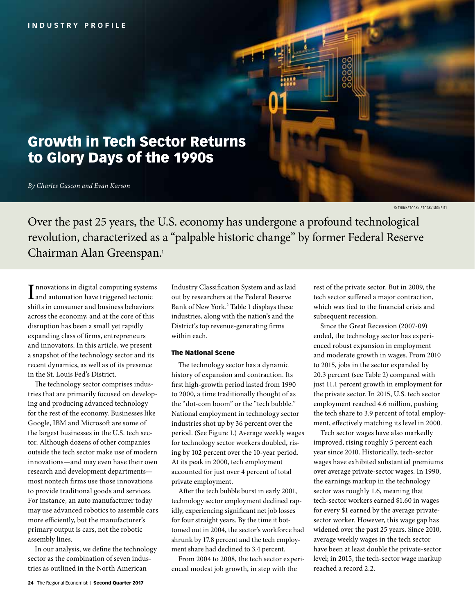# Growth in Tech Sector Returns to Glory Days of the 1990s

*By Charles Gascon and Evan Karson*

© THINKSTOCK /ISTOCK / MONSITJ

Over the past 25 years, the U.S. economy has undergone a profound technological revolution, characterized as a "palpable historic change" by former Federal Reserve Chairman Alan Greenspan.1

Innovations in digital computing system<br>and automation have triggered tectonic<br>i.e. **T** nnovations in digital computing systems shifts in consumer and business behaviors across the economy, and at the core of this disruption has been a small yet rapidly expanding class of firms, entrepreneurs and innovators. In this article, we present a snapshot of the technology sector and its recent dynamics, as well as of its presence in the St. Louis Fed's District.

The technology sector comprises industries that are primarily focused on developing and producing advanced technology for the rest of the economy. Businesses like Google, IBM and Microsoft are some of the largest businesses in the U.S. tech sector. Although dozens of other companies outside the tech sector make use of modern innovations—and may even have their own research and development departments most nontech firms use those innovations to provide traditional goods and services. For instance, an auto manufacturer today may use advanced robotics to assemble cars more efficiently, but the manufacturer's primary output is cars, not the robotic assembly lines.

In our analysis, we define the technology sector as the combination of seven industries as outlined in the North American

Industry Classification System and as laid out by researchers at the Federal Reserve Bank of New York.<sup>2</sup> Table 1 displays these industries, along with the nation's and the District's top revenue-generating firms within each.

### The National Scene

The technology sector has a dynamic history of expansion and contraction. Its first high-growth period lasted from 1990 to 2000, a time traditionally thought of as the "dot-com boom" or the "tech bubble." National employment in technology sector industries shot up by 36 percent over the period. (See Figure 1.) Average weekly wages for technology sector workers doubled, rising by 102 percent over the 10-year period. At its peak in 2000, tech employment accounted for just over 4 percent of total private employment.

After the tech bubble burst in early 2001, technology sector employment declined rapidly, experiencing significant net job losses for four straight years. By the time it bottomed out in 2004, the sector's workforce had shrunk by 17.8 percent and the tech employment share had declined to 3.4 percent.

From 2004 to 2008, the tech sector experienced modest job growth, in step with the

rest of the private sector. But in 2009, the tech sector suffered a major contraction, which was tied to the financial crisis and subsequent recession.

Since the Great Recession (2007-09) ended, the technology sector has experienced robust expansion in employment and moderate growth in wages. From 2010 to 2015, jobs in the sector expanded by 20.3 percent (see Table 2) compared with just 11.1 percent growth in employment for the private sector. In 2015, U.S. tech sector employment reached 4.6 million, pushing the tech share to 3.9 percent of total employment, effectively matching its level in 2000.

Tech sector wages have also markedly improved, rising roughly 5 percent each year since 2010. Historically, tech-sector wages have exhibited substantial premiums over average private-sector wages. In 1990, the earnings markup in the technology sector was roughly 1.6, meaning that tech-sector workers earned \$1.60 in wages for every \$1 earned by the average privatesector worker. However, this wage gap has widened over the past 25 years. Since 2010, average weekly wages in the tech sector have been at least double the private-sector level; in 2015, the tech-sector wage markup reached a record 2.2.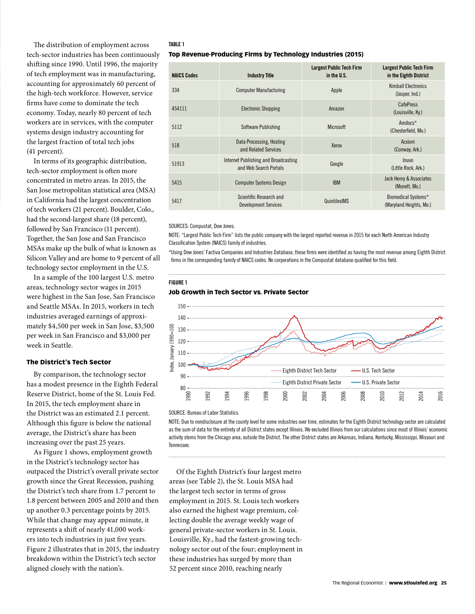The distribution of employment across tech-sector industries has been continuously shifting since 1990. Until 1996, the majority of tech employment was in manufacturing, accounting for approximately 60 percent of the high-tech workforce. However, service firms have come to dominate the tech economy. Today, nearly 80 percent of tech workers are in services, with the computer systems design industry accounting for the largest fraction of total tech jobs (41 percent).

In terms of its geographic distribution, tech-sector employment is often more concentrated in metro areas. In 2015, the San Jose metropolitan statistical area (MSA) in California had the largest concentration of tech workers (21 percent). Boulder, Colo., had the second-largest share (18 percent), followed by San Francisco (11 percent). Together, the San Jose and San Francisco MSAs make up the bulk of what is known as Silicon Valley and are home to 9 percent of all technology sector employment in the U.S.

In a sample of the 100 largest U.S. metro areas, technology sector wages in 2015 were highest in the San Jose, San Francisco and Seattle MSAs. In 2015, workers in tech industries averaged earnings of approximately \$4,500 per week in San Jose, \$3,500 per week in San Francisco and \$3,000 per week in Seattle.

### The District's Tech Sector

By comparison, the technology sector has a modest presence in the Eighth Federal Reserve District, home of the St. Louis Fed. In 2015, the tech employment share in the District was an estimated 2.1 percent. Although this figure is below the national average, the District's share has been increasing over the past 25 years.

As Figure 1 shows, employment growth in the District's technology sector has outpaced the District's overall private sector growth since the Great Recession, pushing the District's tech share from 1.7 percent to 1.8 percent between 2005 and 2010 and then up another 0.3 percentage points by 2015. While that change may appear minute, it represents a shift of nearly 41,000 workers into tech industries in just five years. Figure 2 illustrates that in 2015, the industry breakdown within the District's tech sector aligned closely with the nation's.

### **TABLE 1**

### Top Revenue-Producing Firms by Technology Industries (2015)

| <b>NAICS Codes</b> | <b>Industry Title</b>                                          | <b>Largest Public Tech Firm</b><br>in the U.S. | Largest Public Tech Firm<br>in the Eighth District |
|--------------------|----------------------------------------------------------------|------------------------------------------------|----------------------------------------------------|
| 334                | <b>Computer Manufacturing</b>                                  | Apple                                          | <b>Kimball Electronics</b><br>(Jasper, Ind.)       |
| 454111             | <b>Electronic Shopping</b>                                     | Amazon                                         | CafePress<br>(Louisville, Ky.)                     |
| 5112               | Software Publishing                                            | <b>Microsoft</b>                               | $Andocs*$<br>(Chesterfield, Mo.)                   |
| 518                | Data Processing, Hosting<br>and Related Services               | Xerox                                          | Acxiom<br>(Conway, Ark.)                           |
| 51913              | Internet Publishing and Broadcasting<br>and Web Search Portals | Google                                         | <b>Inuvo</b><br>(Little Rock, Ark.)                |
| 5415               | <b>Computer Systems Design</b>                                 | <b>IBM</b>                                     | Jack Henry & Associates<br>(Monett, Mo.)           |
| 5417               | Scientific Research and<br><b>Development Services</b>         | QuintilesIMS                                   | Biomedical Systems*<br>(Maryland Heights, Mo.)     |

SOURCES: Compustat, Dow Jones.

NOTE: "Largest Public Tech Firm" lists the public company with the largest reported revenue in 2015 for each North American Industry Classification System (NAICS) family of industries.

\*Using Dow Jones' Factiva Companies and Industries Database, these firms were identified as having the most revenue among Eighth District firms in the corresponding family of NAICS codes. No corporations in the Compustat database qualified for this field.

#### **FIGURE 1**

### Job Growth in Tech Sector vs. Private Sector



SOURCE: Bureau of Labor Statistics.

NOTE: Due to nondisclosure at the county level for some industries over time, estimates for the Eighth District technology sector are calculated as the sum of data for the entirety of all District states except Illinois. We excluded Illinois from our calculations since most of Illinois' economic activity stems from the Chicago area, outside the District. The other District states are Arkansas, Indiana, Kentucky, Mississippi, Missouri and Tennessee.

Of the Eighth District's four largest metro areas (see Table 2), the St. Louis MSA had the largest tech sector in terms of gross employment in 2015. St. Louis tech workers also earned the highest wage premium, collecting double the average weekly wage of general private-sector workers in St. Louis. Louisville, Ky., had the fastest-growing technology sector out of the four; employment in these industries has surged by more than 52 percent since 2010, reaching nearly